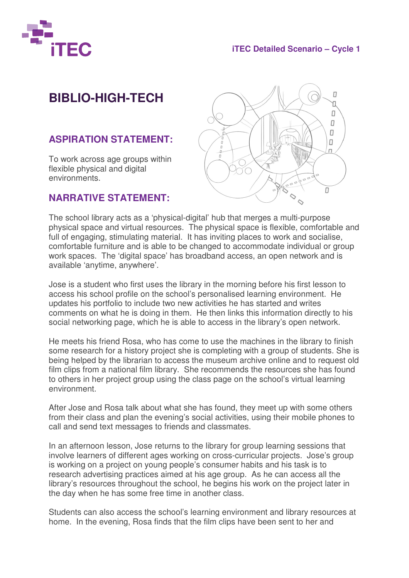

### **iTEC Detailed Scenario – Cycle 1**

# **BIBLIO-HIGH-TECH**

## **ASPIRATION STATEMENT:**

To work across age groups within flexible physical and digital environments.

#### **NARRATIVE STATEMENT:**



The school library acts as a 'physical-digital' hub that merges a multi-purpose physical space and virtual resources. The physical space is flexible, comfortable and full of engaging, stimulating material. It has inviting places to work and socialise, comfortable furniture and is able to be changed to accommodate individual or group work spaces. The 'digital space' has broadband access, an open network and is available 'anytime, anywhere'.

Jose is a student who first uses the library in the morning before his first lesson to access his school profile on the school's personalised learning environment. He updates his portfolio to include two new activities he has started and writes comments on what he is doing in them. He then links this information directly to his social networking page, which he is able to access in the library's open network.

He meets his friend Rosa, who has come to use the machines in the library to finish some research for a history project she is completing with a group of students. She is being helped by the librarian to access the museum archive online and to request old film clips from a national film library. She recommends the resources she has found to others in her project group using the class page on the school's virtual learning environment.

After Jose and Rosa talk about what she has found, they meet up with some others from their class and plan the evening's social activities, using their mobile phones to call and send text messages to friends and classmates.

In an afternoon lesson, Jose returns to the library for group learning sessions that involve learners of different ages working on cross-curricular projects. Jose's group is working on a project on young people's consumer habits and his task is to research advertising practices aimed at his age group. As he can access all the library's resources throughout the school, he begins his work on the project later in the day when he has some free time in another class.

Students can also access the school's learning environment and library resources at home. In the evening, Rosa finds that the film clips have been sent to her and